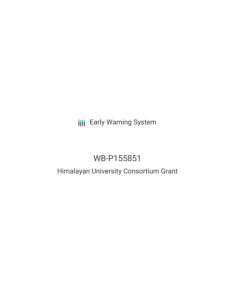# **III** Early Warning System

# WB-P155851

# Himalayan University Consortium Grant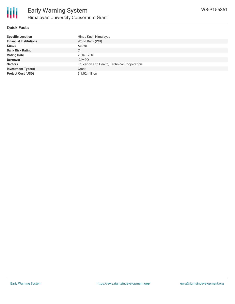

### **Quick Facts**

| <b>Specific Location</b>      | Hindu Kush Himalayas                        |
|-------------------------------|---------------------------------------------|
| <b>Financial Institutions</b> | World Bank (WB)                             |
| <b>Status</b>                 | Active                                      |
| <b>Bank Risk Rating</b>       | C                                           |
| <b>Voting Date</b>            | 2016-12-16                                  |
| <b>Borrower</b>               | <b>ICIMOD</b>                               |
| <b>Sectors</b>                | Education and Health, Technical Cooperation |
| <b>Investment Type(s)</b>     | Grant                                       |
| <b>Project Cost (USD)</b>     | $$1.02$ million                             |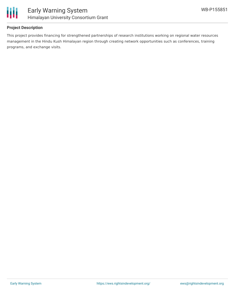

## **Project Description**

This project provides financing for strengthened partnerships of research institutions working on regional water resources management in the Hindu Kush Himalayan region through creating network opportunities such as conferences, training programs, and exchange visits.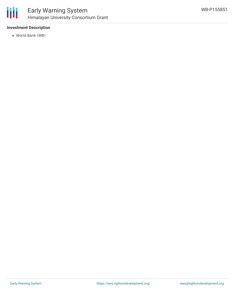

# **Investment Description**

World Bank (WB)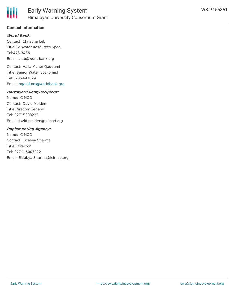

## **Contact Information**

### **World Bank:**

Contact: Christina Leb Title: Sr Water Resources Spec. Tel:473-3486 Email: cleb@worldbank.org

Contact: Halla Maher Qaddumi Title: Senior Water Economist Tel:5785+47629 Email: [hqaddumi@worldbank.org](mailto:hqaddumi@worldbank.org)

#### **Borrower/Client/Recipient:**

Name: ICIMOD Contact: David Molden Title:Director General Tel: 97715003222 Email:david.molden@icimod.org

#### **Implementing Agency:**

Name: ICIMOD Contact: Eklabya Sharma Title: Director Tel: 977-1-5003222 Email: Eklabya.Sharma@icimod.org